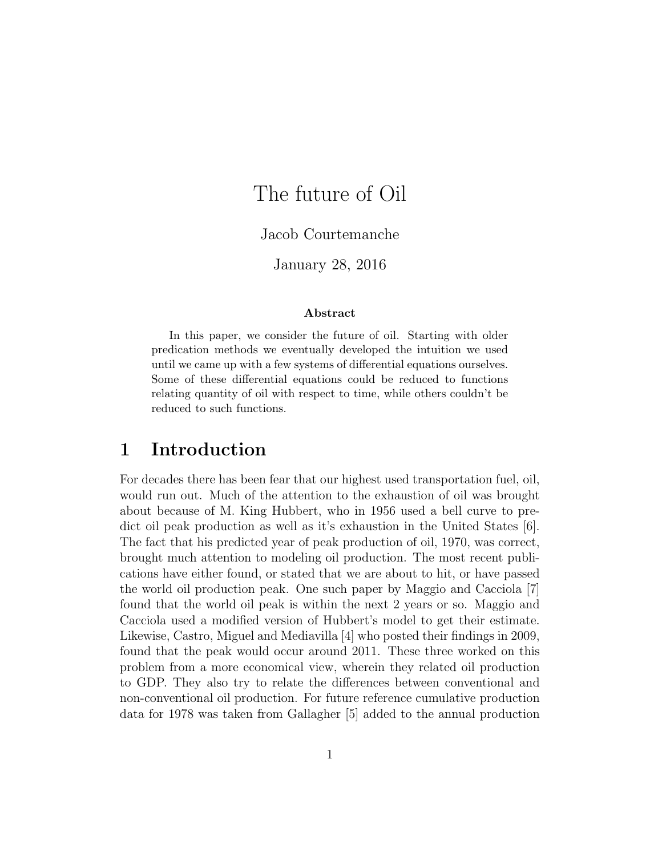# The future of Oil

Jacob Courtemanche

January 28, 2016

#### Abstract

In this paper, we consider the future of oil. Starting with older predication methods we eventually developed the intuition we used until we came up with a few systems of differential equations ourselves. Some of these differential equations could be reduced to functions relating quantity of oil with respect to time, while others couldn't be reduced to such functions.

### 1 Introduction

For decades there has been fear that our highest used transportation fuel, oil, would run out. Much of the attention to the exhaustion of oil was brought about because of M. King Hubbert, who in 1956 used a bell curve to predict oil peak production as well as it's exhaustion in the United States [6]. The fact that his predicted year of peak production of oil, 1970, was correct, brought much attention to modeling oil production. The most recent publications have either found, or stated that we are about to hit, or have passed the world oil production peak. One such paper by Maggio and Cacciola [7] found that the world oil peak is within the next 2 years or so. Maggio and Cacciola used a modified version of Hubbert's model to get their estimate. Likewise, Castro, Miguel and Mediavilla [4] who posted their findings in 2009, found that the peak would occur around 2011. These three worked on this problem from a more economical view, wherein they related oil production to GDP. They also try to relate the differences between conventional and non-conventional oil production. For future reference cumulative production data for 1978 was taken from Gallagher [5] added to the annual production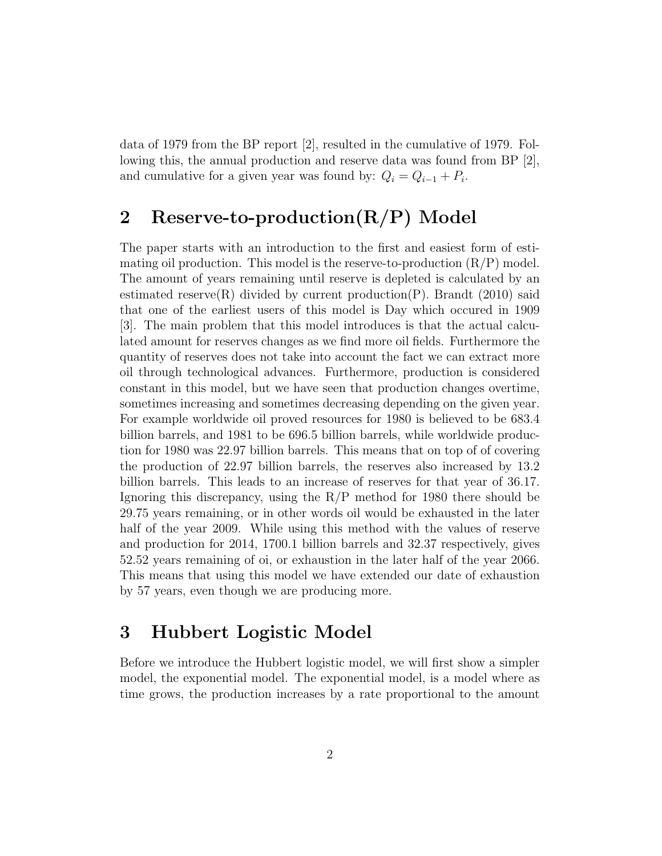data of 1979 from the BP report [2], resulted in the cumulative of 1979. Following this, the annual production and reserve data was found from BP [2], and cumulative for a given year was found by:  $Q_i = Q_{i-1} + P_i$ .

## 2 Reserve-to-production(R/P) Model

The paper starts with an introduction to the first and easiest form of estimating oil production. This model is the reserve-to-production  $(R/P)$  model. The amount of years remaining until reserve is depleted is calculated by an estimated reserve(R) divided by current production(P). Brandt (2010) said that one of the earliest users of this model is Day which occured in 1909 [3]. The main problem that this model introduces is that the actual calculated amount for reserves changes as we find more oil fields. Furthermore the quantity of reserves does not take into account the fact we can extract more oil through technological advances. Furthermore, production is considered constant in this model, but we have seen that production changes overtime, sometimes increasing and sometimes decreasing depending on the given year. For example worldwide oil proved resources for 1980 is believed to be 683.4 billion barrels, and 1981 to be 696.5 billion barrels, while worldwide production for 1980 was 22.97 billion barrels. This means that on top of of covering the production of 22.97 billion barrels, the reserves also increased by 13.2 billion barrels. This leads to an increase of reserves for that year of 36.17. Ignoring this discrepancy, using the R/P method for 1980 there should be 29.75 years remaining, or in other words oil would be exhausted in the later half of the year 2009. While using this method with the values of reserve and production for 2014, 1700.1 billion barrels and 32.37 respectively, gives 52.52 years remaining of oi, or exhaustion in the later half of the year 2066. This means that using this model we have extended our date of exhaustion by 57 years, even though we are producing more.

### 3 Hubbert Logistic Model

Before we introduce the Hubbert logistic model, we will first show a simpler model, the exponential model. The exponential model, is a model where as time grows, the production increases by a rate proportional to the amount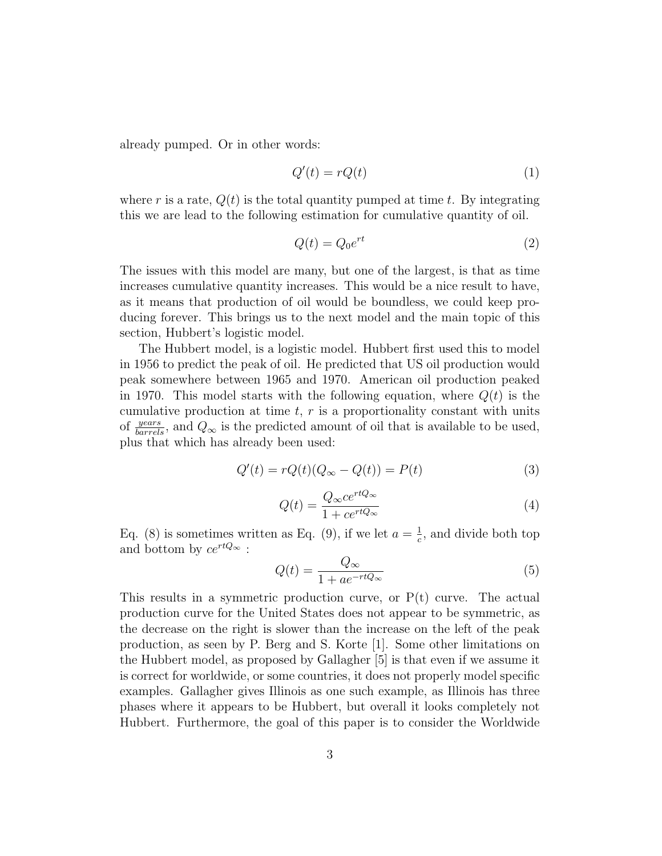already pumped. Or in other words:

$$
Q'(t) = rQ(t) \tag{1}
$$

where r is a rate,  $Q(t)$  is the total quantity pumped at time t. By integrating this we are lead to the following estimation for cumulative quantity of oil.

$$
Q(t) = Q_0 e^{rt} \tag{2}
$$

The issues with this model are many, but one of the largest, is that as time increases cumulative quantity increases. This would be a nice result to have, as it means that production of oil would be boundless, we could keep producing forever. This brings us to the next model and the main topic of this section, Hubbert's logistic model.

The Hubbert model, is a logistic model. Hubbert first used this to model in 1956 to predict the peak of oil. He predicted that US oil production would peak somewhere between 1965 and 1970. American oil production peaked in 1970. This model starts with the following equation, where  $Q(t)$  is the cumulative production at time  $t, r$  is a proportionality constant with units of  $\frac{years}{barrels}$ , and  $Q_{\infty}$  is the predicted amount of oil that is available to be used, plus that which has already been used:

$$
Q'(t) = rQ(t)(Q_{\infty} - Q(t)) = P(t)
$$
\n(3)

$$
Q(t) = \frac{Q_{\infty}ce^{rtQ_{\infty}}}{1 + ce^{rtQ_{\infty}}}
$$
\n<sup>(4)</sup>

Eq. (8) is sometimes written as Eq. (9), if we let  $a = \frac{1}{c}$  $\frac{1}{c}$ , and divide both top and bottom by  $ce^{rtQ_{\infty}}$ :

$$
Q(t) = \frac{Q_{\infty}}{1 + ae^{-rtQ_{\infty}}}
$$
\n<sup>(5)</sup>

This results in a symmetric production curve, or  $P(t)$  curve. The actual production curve for the United States does not appear to be symmetric, as the decrease on the right is slower than the increase on the left of the peak production, as seen by P. Berg and S. Korte [1]. Some other limitations on the Hubbert model, as proposed by Gallagher [5] is that even if we assume it is correct for worldwide, or some countries, it does not properly model specific examples. Gallagher gives Illinois as one such example, as Illinois has three phases where it appears to be Hubbert, but overall it looks completely not Hubbert. Furthermore, the goal of this paper is to consider the Worldwide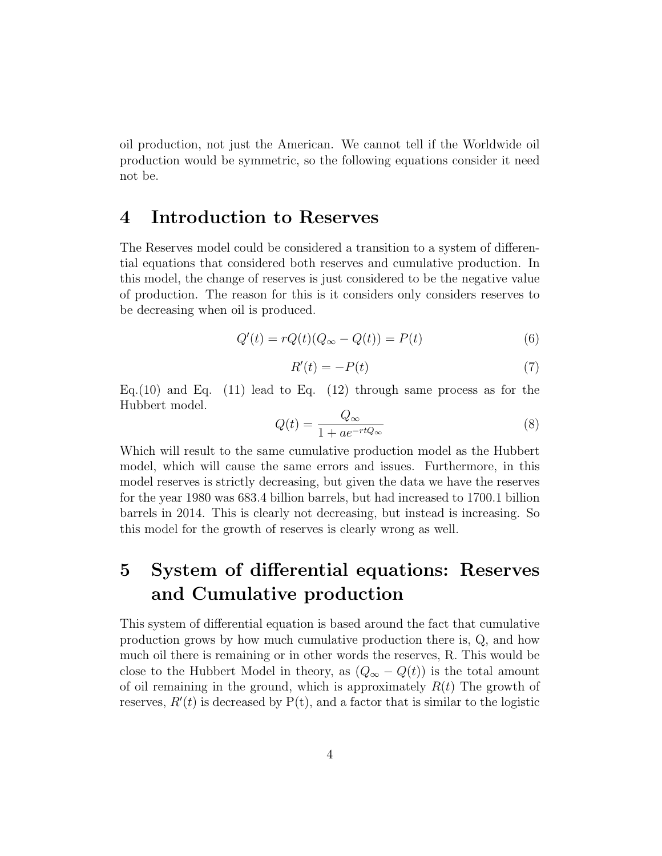oil production, not just the American. We cannot tell if the Worldwide oil production would be symmetric, so the following equations consider it need not be.

#### 4 Introduction to Reserves

The Reserves model could be considered a transition to a system of differential equations that considered both reserves and cumulative production. In this model, the change of reserves is just considered to be the negative value of production. The reason for this is it considers only considers reserves to be decreasing when oil is produced.

$$
Q'(t) = rQ(t)(Q_{\infty} - Q(t)) = P(t)
$$
\n
$$
(6)
$$

$$
R'(t) = -P(t) \tag{7}
$$

Eq. (10) and Eq. (11) lead to Eq. (12) through same process as for the Hubbert model.

$$
Q(t) = \frac{Q_{\infty}}{1 + ae^{-rtQ_{\infty}}}
$$
\n(8)

Which will result to the same cumulative production model as the Hubbert model, which will cause the same errors and issues. Furthermore, in this model reserves is strictly decreasing, but given the data we have the reserves for the year 1980 was 683.4 billion barrels, but had increased to 1700.1 billion barrels in 2014. This is clearly not decreasing, but instead is increasing. So this model for the growth of reserves is clearly wrong as well.

## 5 System of differential equations: Reserves and Cumulative production

This system of differential equation is based around the fact that cumulative production grows by how much cumulative production there is, Q, and how much oil there is remaining or in other words the reserves, R. This would be close to the Hubbert Model in theory, as  $(Q_{\infty} - Q(t))$  is the total amount of oil remaining in the ground, which is approximately  $R(t)$  The growth of reserves,  $R'(t)$  is decreased by  $P(t)$ , and a factor that is similar to the logistic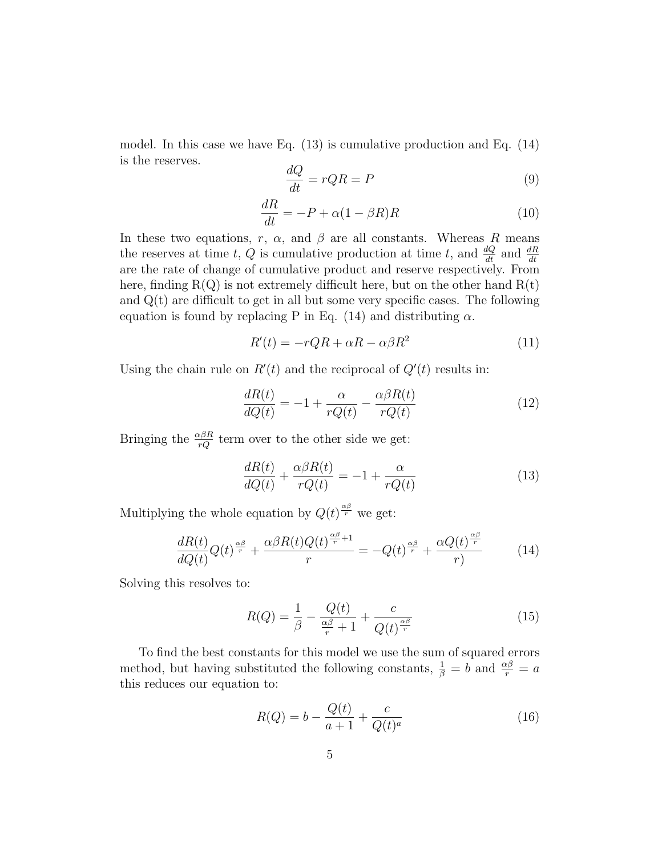model. In this case we have Eq. (13) is cumulative production and Eq. (14) is the reserves.

$$
\frac{dQ}{dt} = rQR = P \tag{9}
$$

$$
\frac{dR}{dt} = -P + \alpha (1 - \beta R)R\tag{10}
$$

In these two equations, r,  $\alpha$ , and  $\beta$  are all constants. Whereas R means the reserves at time t, Q is cumulative production at time t, and  $\frac{dQ}{dt}$  and  $\frac{dR}{dt}$ are the rate of change of cumulative product and reserve respectively. From here, finding  $R(Q)$  is not extremely difficult here, but on the other hand  $R(t)$ and  $Q(t)$  are difficult to get in all but some very specific cases. The following equation is found by replacing P in Eq. (14) and distributing  $\alpha$ .

$$
R'(t) = -rQR + \alpha R - \alpha \beta R^2 \tag{11}
$$

Using the chain rule on  $R'(t)$  and the reciprocal of  $Q'(t)$  results in:

$$
\frac{dR(t)}{dQ(t)} = -1 + \frac{\alpha}{rQ(t)} - \frac{\alpha\beta R(t)}{rQ(t)}\tag{12}
$$

Bringing the  $\frac{\alpha\beta R}{rQ}$  term over to the other side we get:

$$
\frac{dR(t)}{dQ(t)} + \frac{\alpha \beta R(t)}{rQ(t)} = -1 + \frac{\alpha}{rQ(t)}\tag{13}
$$

Multiplying the whole equation by  $Q(t)^{\frac{\alpha\beta}{r}}$  we get:

$$
\frac{dR(t)}{dQ(t)}Q(t)^{\frac{\alpha\beta}{r}} + \frac{\alpha\beta R(t)Q(t)^{\frac{\alpha\beta}{r}+1}}{r} = -Q(t)^{\frac{\alpha\beta}{r}} + \frac{\alpha Q(t)^{\frac{\alpha\beta}{r}}}{r}
$$
(14)

Solving this resolves to:

$$
R(Q) = \frac{1}{\beta} - \frac{Q(t)}{\frac{\alpha \beta}{r} + 1} + \frac{c}{Q(t)^{\frac{\alpha \beta}{r}}}
$$
(15)

To find the best constants for this model we use the sum of squared errors method, but having substituted the following constants,  $\frac{1}{\beta} = b$  and  $\frac{\alpha\beta}{r} = a$ this reduces our equation to:

$$
R(Q) = b - \frac{Q(t)}{a+1} + \frac{c}{Q(t)^a}
$$
 (16)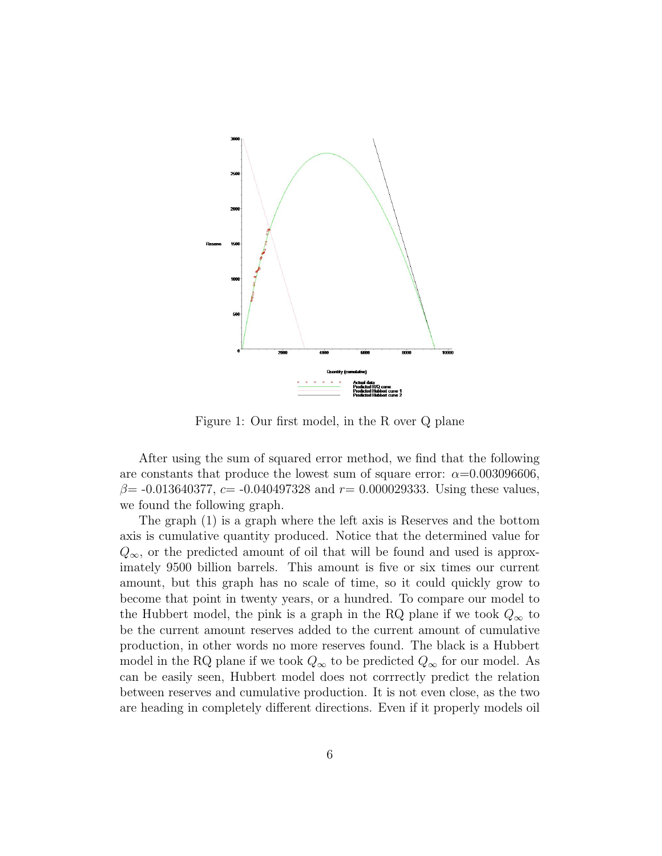

Figure 1: Our first model, in the R over Q plane

After using the sum of squared error method, we find that the following are constants that produce the lowest sum of square error:  $\alpha$ =0.003096606,  $\beta$ = -0.013640377, c= -0.040497328 and r= 0.000029333. Using these values, we found the following graph.

The graph (1) is a graph where the left axis is Reserves and the bottom axis is cumulative quantity produced. Notice that the determined value for  $Q_{\infty}$ , or the predicted amount of oil that will be found and used is approximately 9500 billion barrels. This amount is five or six times our current amount, but this graph has no scale of time, so it could quickly grow to become that point in twenty years, or a hundred. To compare our model to the Hubbert model, the pink is a graph in the RQ plane if we took  $Q_{\infty}$  to be the current amount reserves added to the current amount of cumulative production, in other words no more reserves found. The black is a Hubbert model in the RQ plane if we took  $Q_{\infty}$  to be predicted  $Q_{\infty}$  for our model. As can be easily seen, Hubbert model does not corrrectly predict the relation between reserves and cumulative production. It is not even close, as the two are heading in completely different directions. Even if it properly models oil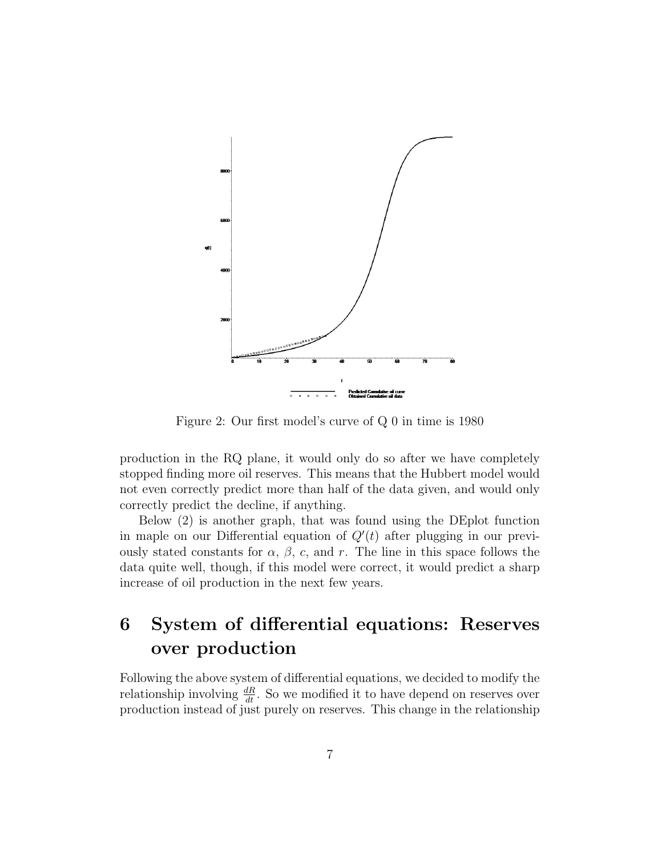

Figure 2: Our first model's curve of Q 0 in time is 1980

production in the RQ plane, it would only do so after we have completely stopped finding more oil reserves. This means that the Hubbert model would not even correctly predict more than half of the data given, and would only correctly predict the decline, if anything.

Below (2) is another graph, that was found using the DEplot function in maple on our Differential equation of  $Q'(t)$  after plugging in our previously stated constants for  $\alpha$ ,  $\beta$ , c, and r. The line in this space follows the data quite well, though, if this model were correct, it would predict a sharp increase of oil production in the next few years.

## 6 System of differential equations: Reserves over production

Following the above system of differential equations, we decided to modify the relationship involving  $\frac{dR}{dt}$ . So we modified it to have depend on reserves over production instead of just purely on reserves. This change in the relationship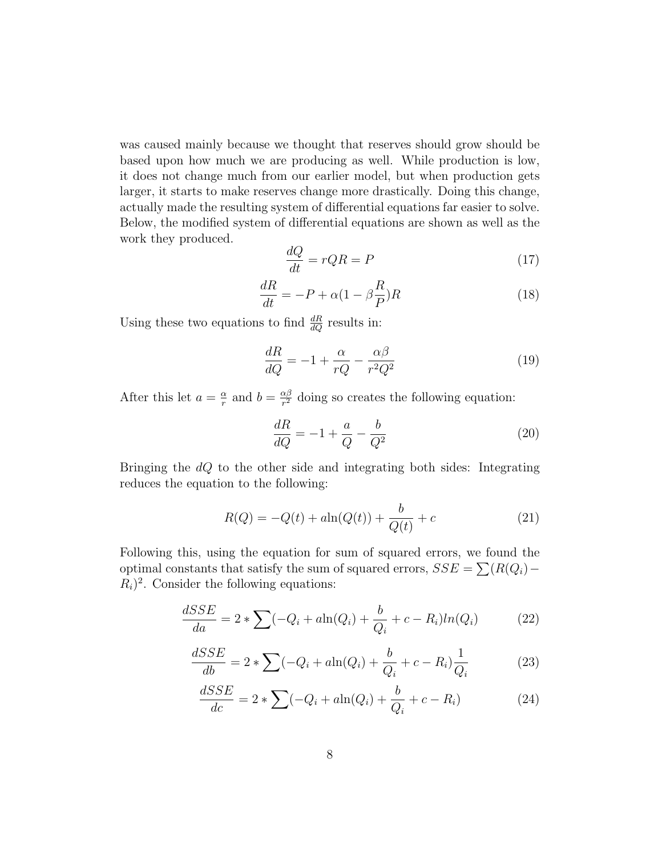was caused mainly because we thought that reserves should grow should be based upon how much we are producing as well. While production is low, it does not change much from our earlier model, but when production gets larger, it starts to make reserves change more drastically. Doing this change, actually made the resulting system of differential equations far easier to solve. Below, the modified system of differential equations are shown as well as the work they produced.

$$
\frac{dQ}{dt} = rQR = P \tag{17}
$$

$$
\frac{dR}{dt} = -P + \alpha (1 - \beta \frac{R}{P})R\tag{18}
$$

Using these two equations to find  $\frac{dR}{dQ}$  results in:

$$
\frac{dR}{dQ} = -1 + \frac{\alpha}{rQ} - \frac{\alpha\beta}{r^2Q^2} \tag{19}
$$

After this let  $a = \frac{\alpha}{r}$  $\frac{\alpha}{r}$  and  $b = \frac{\alpha \beta}{r^2}$  $\frac{\alpha\beta}{r^2}$  doing so creates the following equation:

$$
\frac{dR}{dQ} = -1 + \frac{a}{Q} - \frac{b}{Q^2} \tag{20}
$$

Bringing the  $dQ$  to the other side and integrating both sides: Integrating reduces the equation to the following:

$$
R(Q) = -Q(t) + a\ln(Q(t)) + \frac{b}{Q(t)} + c
$$
 (21)

Following this, using the equation for sum of squared errors, we found the optimal constants that satisfy the sum of squared errors,  $SSE = \sum (R(Q_i) R_i$ <sup>2</sup>. Consider the following equations:

$$
\frac{dSSE}{da} = 2 * \sum (-Q_i + a \ln(Q_i) + \frac{b}{Q_i} + c - R_i) \ln(Q_i)
$$
 (22)

$$
\frac{dSSE}{db} = 2 * \sum (-Q_i + a \ln(Q_i) + \frac{b}{Q_i} + c - R_i) \frac{1}{Q_i}
$$
 (23)

$$
\frac{dSSE}{dc} = 2 * \sum (-Q_i + a \ln(Q_i) + \frac{b}{Q_i} + c - R_i)
$$
 (24)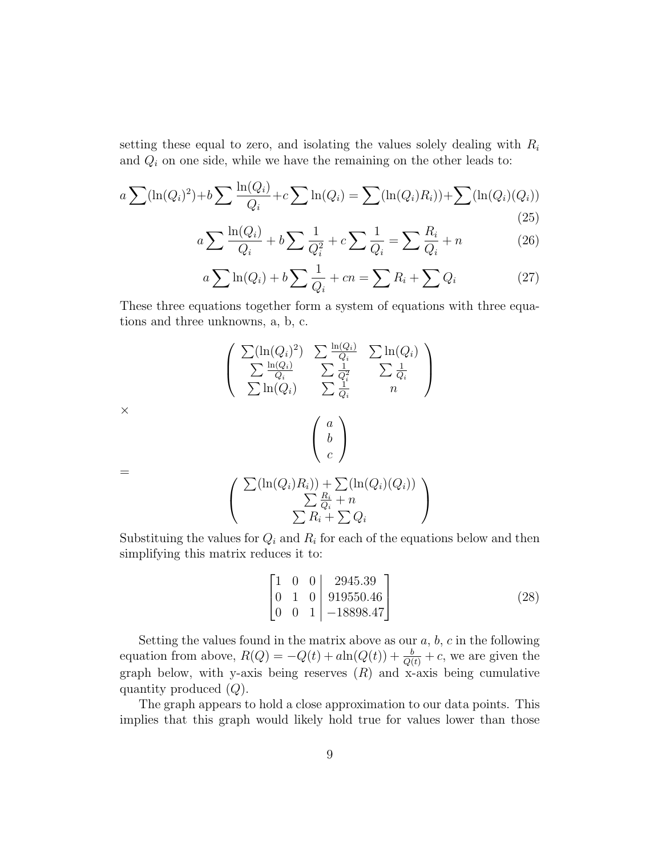setting these equal to zero, and isolating the values solely dealing with  $R_i$ and  $Q_i$  on one side, while we have the remaining on the other leads to:

$$
a \sum (\ln(Q_i)^2) + b \sum \frac{\ln(Q_i)}{Q_i} + c \sum \ln(Q_i) = \sum (\ln(Q_i)R_i) + \sum (\ln(Q_i)(Q_i))
$$
\n(25)

$$
a\sum \frac{\ln(Q_i)}{Q_i} + b\sum \frac{1}{Q_i^2} + c\sum \frac{1}{Q_i} = \sum \frac{R_i}{Q_i} + n
$$
 (26)

$$
a\sum \ln(Q_i) + b\sum \frac{1}{Q_i} + cn = \sum R_i + \sum Q_i \tag{27}
$$

These three equations together form a system of equations with three equations and three unknowns, a, b, c.

$$
\begin{pmatrix}\n\sum(\ln(Q_i)^2) & \sum \frac{\ln(Q_i)}{Q_i} & \sum \ln(Q_i) \\
\sum \frac{\ln(Q_i)}{Q_i} & \sum \frac{1}{Q_i^2} & \sum \frac{1}{Q_i} \\
\sum \ln(Q_i) & \sum \frac{1}{Q_i} & n\n\end{pmatrix}
$$
\n
$$
\times \begin{pmatrix}\na \\
b \\
c\n\end{pmatrix}
$$
\n
$$
= \begin{pmatrix}\n\sum(\ln(Q_i)R_i)) + \sum(\ln(Q_i)(Q_i)) \\
\sum \frac{R_i}{Q_i} + n \\
\sum R_i + \sum Q_i\n\end{pmatrix}
$$

 $\times$ 

Substituing the values for  $Q_i$  and  $R_i$  for each of the equations below and then simplifying this matrix reduces it to:

$$
\begin{bmatrix} 1 & 0 & 0 & 2945.39 \\ 0 & 1 & 0 & 919550.46 \\ 0 & 0 & 1 & -18898.47 \end{bmatrix}
$$
 (28)

Setting the values found in the matrix above as our  $a, b, c$  in the following equation from above,  $R(Q) = -Q(t) + a \ln(Q(t)) + \frac{b}{Q(t)} + c$ , we are given the graph below, with y-axis being reserves  $(R)$  and x-axis being cumulative quantity produced  $(Q)$ .

The graph appears to hold a close approximation to our data points. This implies that this graph would likely hold true for values lower than those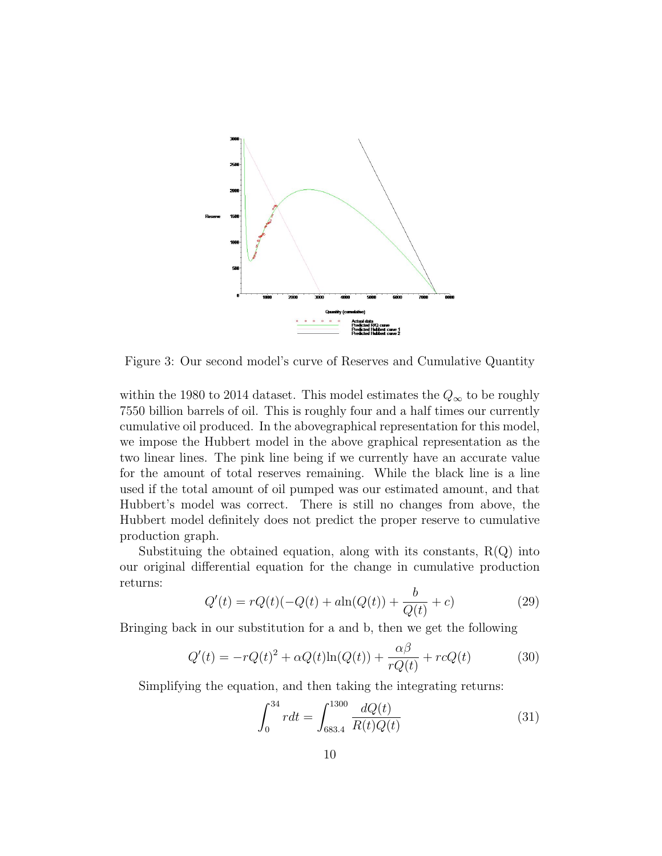

Figure 3: Our second model's curve of Reserves and Cumulative Quantity

within the 1980 to 2014 dataset. This model estimates the  $Q_{\infty}$  to be roughly 7550 billion barrels of oil. This is roughly four and a half times our currently cumulative oil produced. In the abovegraphical representation for this model, we impose the Hubbert model in the above graphical representation as the two linear lines. The pink line being if we currently have an accurate value for the amount of total reserves remaining. While the black line is a line used if the total amount of oil pumped was our estimated amount, and that Hubbert's model was correct. There is still no changes from above, the Hubbert model definitely does not predict the proper reserve to cumulative production graph.

Substituing the obtained equation, along with its constants,  $R(Q)$  into our original differential equation for the change in cumulative production returns:

$$
Q'(t) = rQ(t)(-Q(t) + a\ln(Q(t)) + \frac{b}{Q(t)} + c)
$$
\n(29)

Bringing back in our substitution for a and b, then we get the following

$$
Q'(t) = -rQ(t)^2 + \alpha Q(t)\ln(Q(t)) + \frac{\alpha\beta}{rQ(t)} + rcQ(t)
$$
\n(30)

Simplifying the equation, and then taking the integrating returns:

$$
\int_{0}^{34} rdt = \int_{683.4}^{1300} \frac{dQ(t)}{R(t)Q(t)} \tag{31}
$$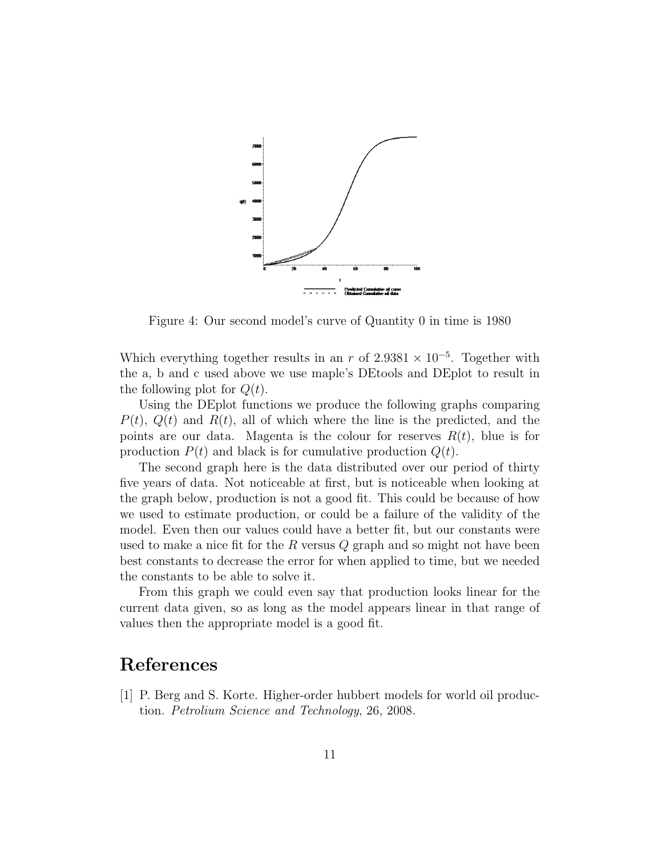

Figure 4: Our second model's curve of Quantity 0 in time is 1980

Which everything together results in an r of  $2.9381 \times 10^{-5}$ . Together with the a, b and c used above we use maple's DEtools and DEplot to result in the following plot for  $Q(t)$ .

Using the DEplot functions we produce the following graphs comparing  $P(t)$ ,  $Q(t)$  and  $R(t)$ , all of which where the line is the predicted, and the points are our data. Magenta is the colour for reserves  $R(t)$ , blue is for production  $P(t)$  and black is for cumulative production  $Q(t)$ .

The second graph here is the data distributed over our period of thirty five years of data. Not noticeable at first, but is noticeable when looking at the graph below, production is not a good fit. This could be because of how we used to estimate production, or could be a failure of the validity of the model. Even then our values could have a better fit, but our constants were used to make a nice fit for the R versus  $Q$  graph and so might not have been best constants to decrease the error for when applied to time, but we needed the constants to be able to solve it.

From this graph we could even say that production looks linear for the current data given, so as long as the model appears linear in that range of values then the appropriate model is a good fit.

#### References

[1] P. Berg and S. Korte. Higher-order hubbert models for world oil production. Petrolium Science and Technology, 26, 2008.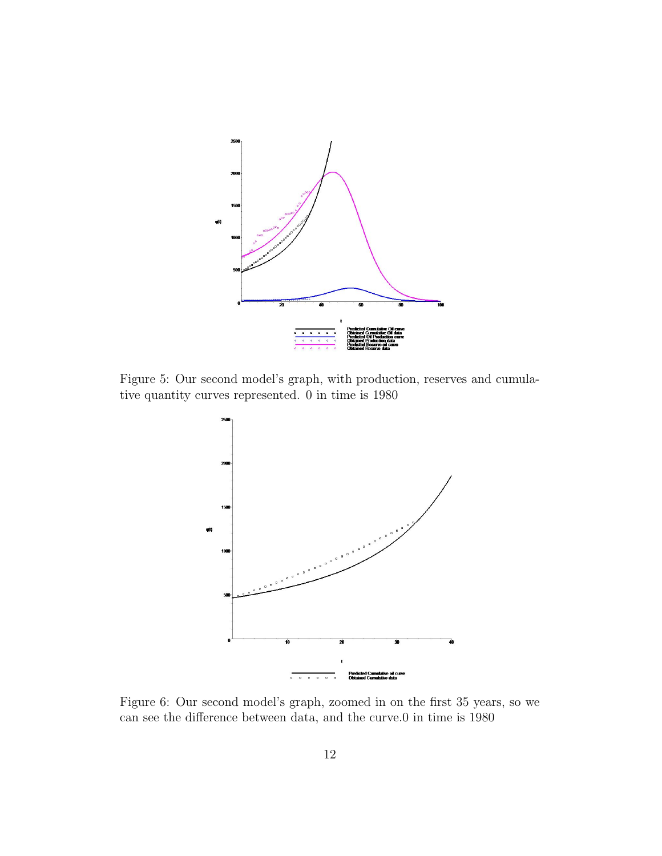

Figure 5: Our second model's graph, with production, reserves and cumulative quantity curves represented. 0 in time is 1980



Figure 6: Our second model's graph, zoomed in on the first 35 years, so we can see the difference between data, and the curve.0 in time is 1980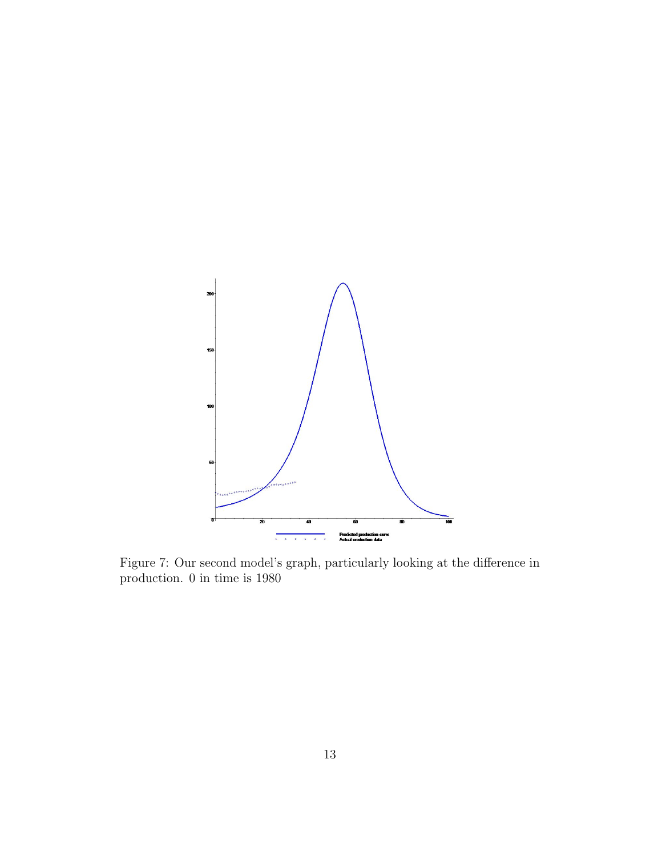

Figure 7: Our second model's graph, particularly looking at the difference in production. 0 in time is 1980